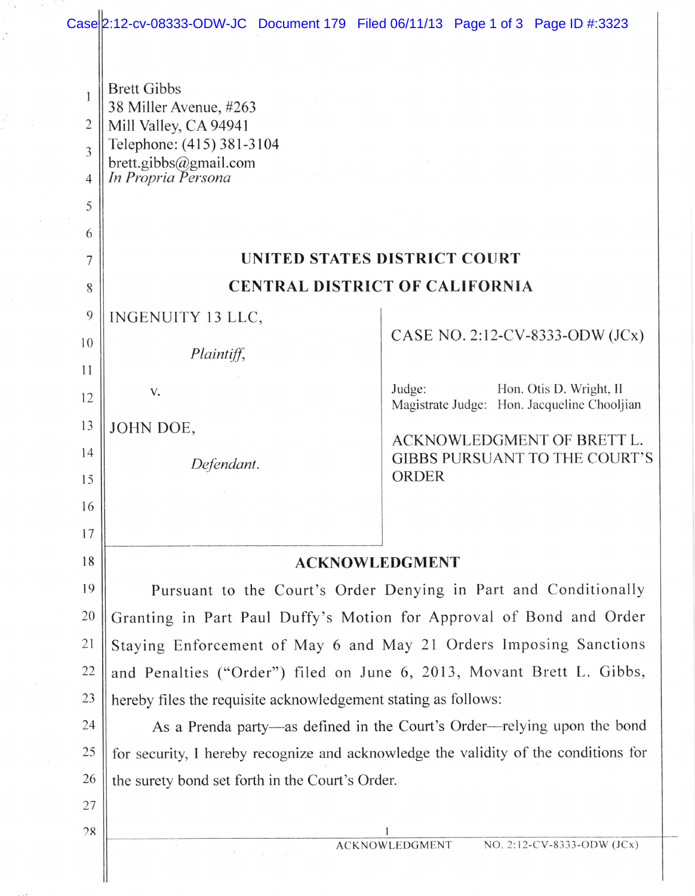## Case 2:12-cv-08333-ODW-JC Document 179 Filed 06/11/13 Page 1 of 3 Page ID #:3323

 $\mathcal{C}_{\mathcal{A}}$ 

| 1<br>$\overline{2}$<br>3<br>4<br>5 | <b>Brett Gibbs</b><br>38 Miller Avenue, #263<br>Mill Valley, CA 94941<br>Telephone: (415) 381-3104<br>brett.gibbs@gmail.com<br>In Propria Persona |                                                                                  |  |  |  |  |
|------------------------------------|---------------------------------------------------------------------------------------------------------------------------------------------------|----------------------------------------------------------------------------------|--|--|--|--|
| 6                                  |                                                                                                                                                   |                                                                                  |  |  |  |  |
| 7                                  | UNITED STATES DISTRICT COURT                                                                                                                      |                                                                                  |  |  |  |  |
| 8                                  | <b>CENTRAL DISTRICT OF CALIFORNIA</b>                                                                                                             |                                                                                  |  |  |  |  |
| 9                                  | INGENUITY 13 LLC,                                                                                                                                 |                                                                                  |  |  |  |  |
| 10                                 | Plaintiff,                                                                                                                                        | CASE NO. 2:12-CV-8333-ODW (JCx)                                                  |  |  |  |  |
| 11                                 |                                                                                                                                                   |                                                                                  |  |  |  |  |
| 12                                 | V.                                                                                                                                                | Judge:<br>Hon. Otis D. Wright, II<br>Magistrate Judge: Hon. Jacqueline Chooljian |  |  |  |  |
| 13                                 | JOHN DOE,                                                                                                                                         | ACKNOWLEDGMENT OF BRETT L.                                                       |  |  |  |  |
| 14<br>15                           | Defendant.                                                                                                                                        | <b>GIBBS PURSUANT TO THE COURT'S</b><br><b>ORDER</b>                             |  |  |  |  |
| 16                                 |                                                                                                                                                   |                                                                                  |  |  |  |  |
| 17                                 |                                                                                                                                                   |                                                                                  |  |  |  |  |
| 18                                 | <b>ACKNOWLEDGMENT</b>                                                                                                                             |                                                                                  |  |  |  |  |
| 19                                 | Pursuant to the Court's Order Denying in Part and Conditionally                                                                                   |                                                                                  |  |  |  |  |
| 20                                 | Granting in Part Paul Duffy's Motion for Approval of Bond and Order                                                                               |                                                                                  |  |  |  |  |
| 21                                 | Staying Enforcement of May 6 and May 21 Orders Imposing Sanctions                                                                                 |                                                                                  |  |  |  |  |
| 22                                 | and Penalties ("Order") filed on June 6, 2013, Movant Brett L. Gibbs,                                                                             |                                                                                  |  |  |  |  |
| 23                                 | hereby files the requisite acknowledgement stating as follows:                                                                                    |                                                                                  |  |  |  |  |
| 24                                 | As a Prenda party—as defined in the Court's Order—relying upon the bond                                                                           |                                                                                  |  |  |  |  |
| 25                                 | for security, I hereby recognize and acknowledge the validity of the conditions for                                                               |                                                                                  |  |  |  |  |
| 26                                 | the surety bond set forth in the Court's Order.                                                                                                   |                                                                                  |  |  |  |  |
| 27                                 |                                                                                                                                                   |                                                                                  |  |  |  |  |
| 28                                 |                                                                                                                                                   | NO. 2:12-CV-8333-ODW (JCx)<br><b>ACKNOWLEDGMENT</b>                              |  |  |  |  |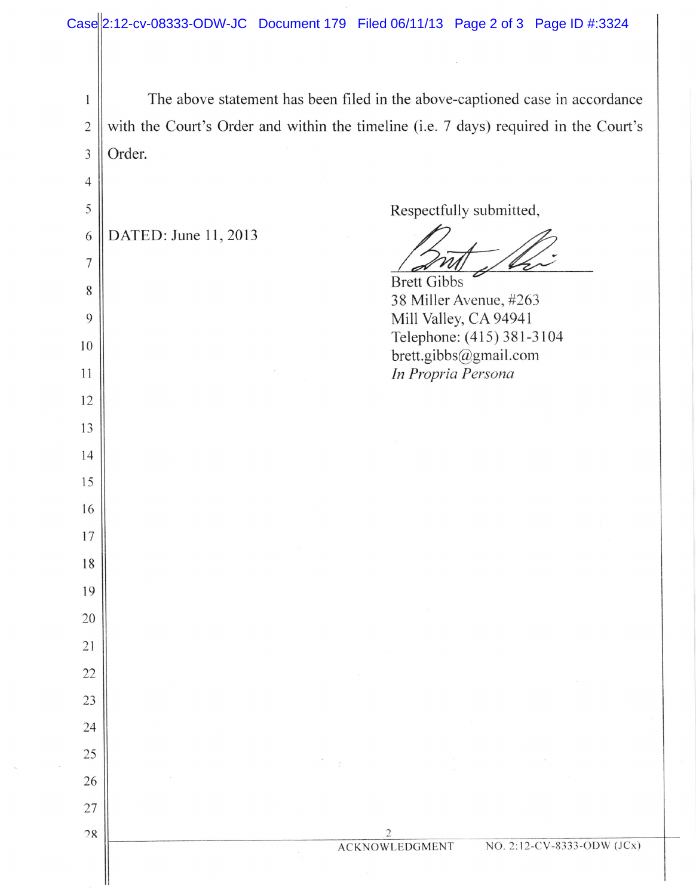| Case 2:12-cv-08333-ODW-JC Document 179 Filed 06/11/13 Page 2 of 3 Page ID #:3324 |  |  |  |  |
|----------------------------------------------------------------------------------|--|--|--|--|
|----------------------------------------------------------------------------------|--|--|--|--|

1 2 J 4 5 6 7 8 9 l0 ll 12 l3 t4 15 l6 17 18 19 20 21 22 23 24 25 26 27  $28$ The above statement has been filed in the above-captioned case in accordance with the Court's Order and within the timeline (i.e. 7 days) required in the Court's Order. DATED: June 11,2013 38 Miller Avenue, #263 Mill Valley, CA 94941 Telephone: (415) 381-3104 brett.gibbs@gmail.com In Propria Persona Respectfully submitted, Brett Gibbs ACKNOWLEDGMENT NO. 2:12-CV-8333-ODW (JCx)